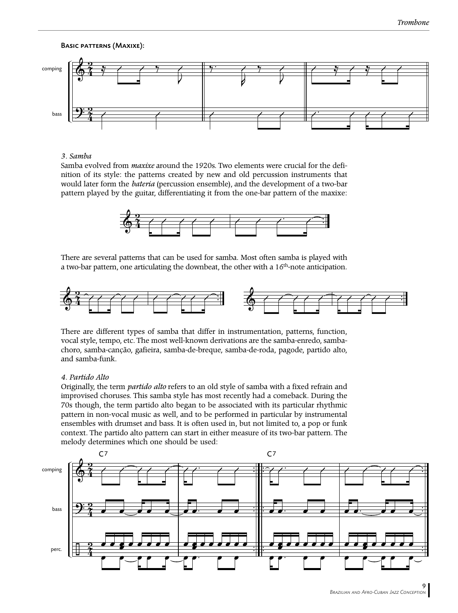# Basic patterns (Maxixe):



## *3. Samba*

Samba evolved from *maxixe* around the 1920s. Two elements were crucial for the definition of its style: the patterns created by new and old percussion instruments that would later form the *bateria* (percussion ensemble), and the development of a two-bar pattern played by the guitar, differentiating it from the one-bar pattern of the maxixe:



There are several patterns that can be used for samba. Most often samba is played with a two-bar pattern, one articulating the downbeat, the other with a  $16<sup>th</sup>$ -note anticipation.



There are different types of samba that differ in instrumentation, patterns, function, vocal style, tempo, etc. The most well-known derivations are the samba-enredo, sambachoro, samba-canção, gafieira, samba-de-breque, samba-de-roda, pagode, partido alto, and samba-funk.

#### *4. Partido Alto*

Originally, the term *partido alto* refers to an old style of samba with a fixed refrain and improvised choruses. This samba style has most recently had a comeback. During the 70s though, the term partido alto began to be associated with its particular rhythmic pattern in non-vocal music as well, and to be performed in particular by instrumental ensembles with drumset and bass. It is often used in, but not limited to, a pop or funk context. The partido alto pattern can start in either measure of its two-bar pattern. The melody determines which one should be used:

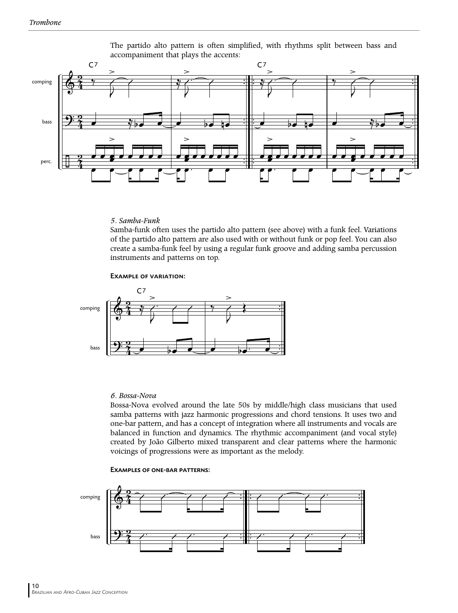

The partido alto pattern is often simplified, with rhythms split between bass and accompaniment that plays the accents:

# *5. Samba-Funk*

Samba-funk often uses the partido alto pattern (see above) with a funk feel. Variations of the partido alto pattern are also used with or without funk or pop feel. You can also create a samba-funk feel by using a regular funk groove and adding samba percussion instruments and patterns on top.

Example of variation:



## *6. Bossa-Nova*

Bossa-Nova evolved around the late 50s by middle/high class musicians that used samba patterns with jazz harmonic progressions and chord tensions. It uses two and one-bar pattern, and has a concept of integration where all instruments and vocals are balanced in function and dynamics. The rhythmic accompaniment (and vocal style) created by João Gilberto mixed transparent and clear patterns where the harmonic voicings of progressions were as important as the melody.

#### Examples of one-bar patterns:

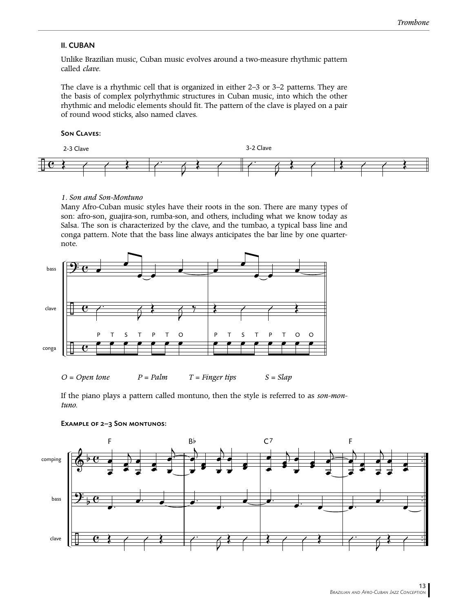# II. CUBAN

Unlike Brazilian music, Cuban music evolves around a two-measure rhythmic pattern called *clave*.

The clave is a rhythmic cell that is organized in either 2–3 or 3–2 patterns. They are the basis of complex polyrhythmic structures in Cuban music, into which the other rhythmic and melodic elements should fit. The pattern of the clave is played on a pair of round wood sticks, also named claves.

# Son Claves:



### *1. Son and Son-Montuno*

Many Afro-Cuban music styles have their roots in the son. There are many types of son: afro-son, guajira-son, rumba-son, and others, including what we know today as Salsa. The son is characterized by the clave, and the tumbao, a typical bass line and conga pattern. Note that the bass line always anticipates the bar line by one quarternote.



*O = Open tone P = Palm T = Finger tips S = Slap*

If the piano plays a pattern called montuno, then the style is referred to as *son-montuno.*



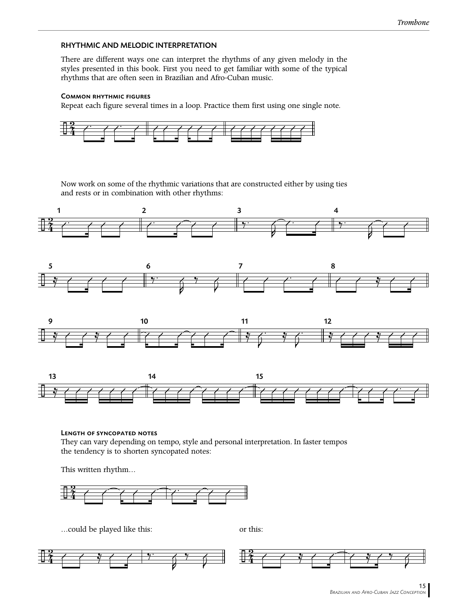# RHYTHMIC AND MELODIC INTERPRETATION

There are different ways one can interpret the rhythms of any given melody in the styles presented in this book. First you need to get familiar with some of the typical rhythms that are often seen in Brazilian and Afro-Cuban music.

### Common rhythmic figures

Repeat each figure several times in a loop. Practice them first using one single note.



Now work on some of the rhythmic variations that are constructed either by using ties and rests or in combination with other rhythms:









Length of syncopated notes They can vary depending on tempo, style and personal interpretation. In faster tempos the tendency is to shorten syncopated notes:

This written rhythm…



…could be played like this: or this:

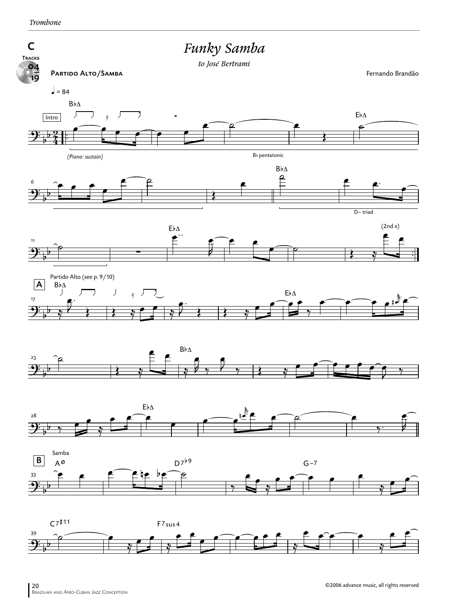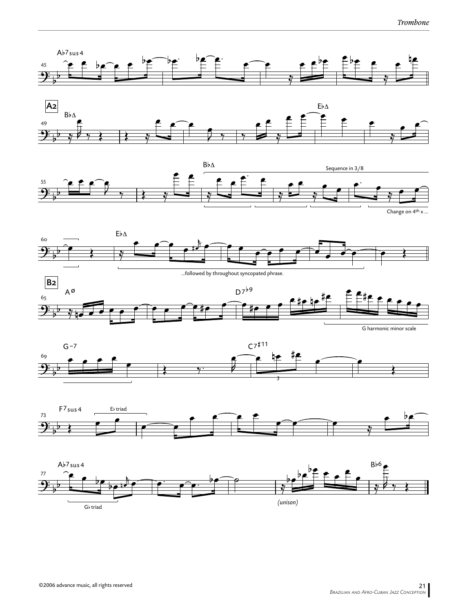













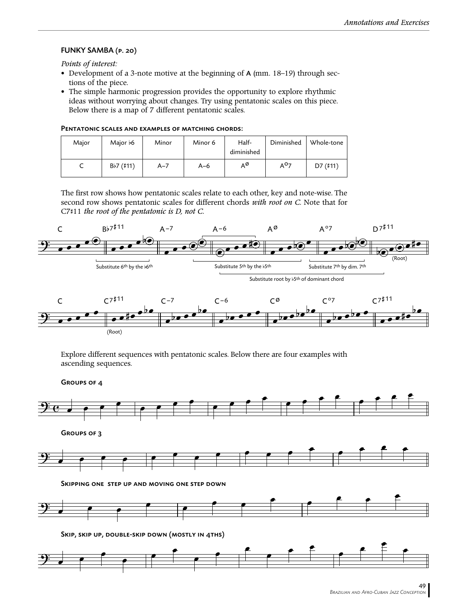# FUNKY SAMBA (p. 20)

*Points of interest:*

- Development of a 3-note motive at the beginning of A (mm. 18–19) through sections of the piece.
- The simple harmonic progression provides the opportunity to explore rhythmic ideas without worrying about changes. Try using pentatonic scales on this piece. Below there is a map of 7 different pentatonic scales.

|--|

| Major | Major 66    | Minor   | Minor 6 | Half-<br>diminished | Diminished       | Whole-tone |
|-------|-------------|---------|---------|---------------------|------------------|------------|
| ╰     | $Bb7$ (#11) | $A - 7$ | $A-6$   | AØ                  | A <sup>0</sup> 7 | D7 (#11)   |

The first row shows how pentatonic scales relate to each other, key and note-wise. The second row shows pentatonic scales for different chords *with root on C.* Note that for C7#11 *the root of the pentatonic is D, not C.*



Explore different sequences with pentatonic scales. Below there are four examples with ascending sequences.

Groups of 4



Skip, skip up, double-skip down (mostly in 4ths)